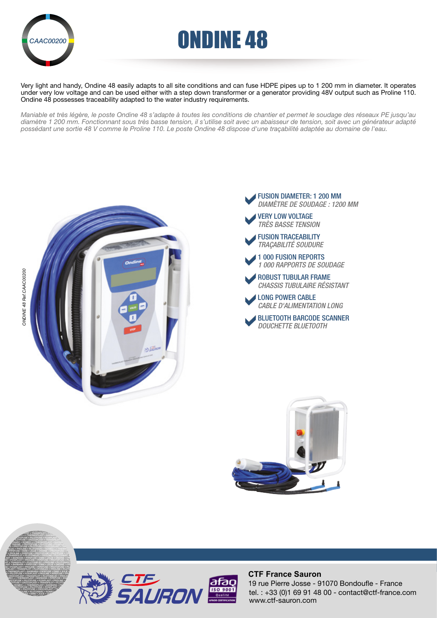

# *CAAC00200* **CARC ONDINE 48**

Very light and handy, Ondine 48 easily adapts to all site conditions and can fuse HDPE pipes up to 1 200 mm in diameter. It operates under very low voltage and can be used either with a step down transformer or a generator providing 48V output such as Proline 110. Ondine 48 possesses traceability adapted to the water industry requirements.

*Maniable et très légère, le poste Ondine 48 s'adapte à toutes les conditions de chantier et permet le soudage des réseaux PE jusqu'au diamètre 1 200 mm. Fonctionnant sous très basse tension, il s'utilise soit avec un abaisseur de tension, soit avec un générateur adapté possédant une sortie 48 V comme le Proline 110. Le poste Ondine 48 dispose d'une traçabilité adaptée au domaine de l'eau.*











#### **CTF France Sauron**

tel. : +33 (0)1 69 91 48 00 - contact@ctf-france.com www.ctf-sauron.com 19 rue Pierre Josse - 91070 Bondoufle - France